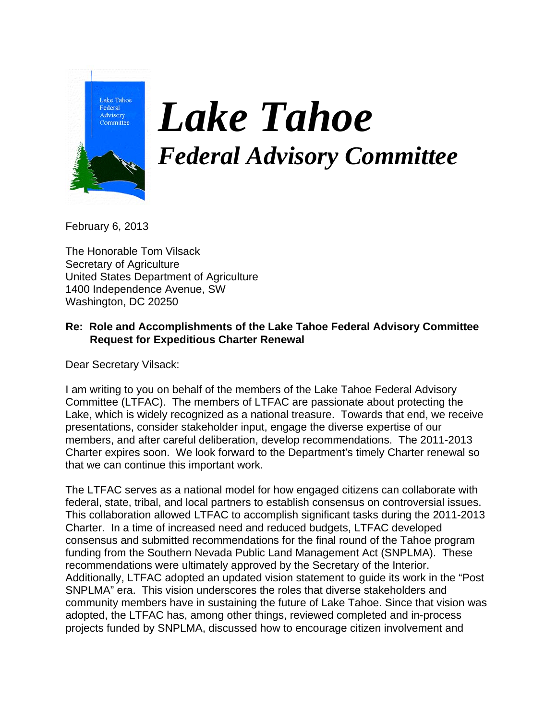

## *Lake Tahoe Federal Advisory Committee*

February 6, 2013

The Honorable Tom Vilsack Secretary of Agriculture United States Department of Agriculture 1400 Independence Avenue, SW Washington, DC 20250

## **Re: Role and Accomplishments of the Lake Tahoe Federal Advisory Committee Request for Expeditious Charter Renewal**

Dear Secretary Vilsack:

I am writing to you on behalf of the members of the Lake Tahoe Federal Advisory Committee (LTFAC). The members of LTFAC are passionate about protecting the Lake, which is widely recognized as a national treasure. Towards that end, we receive presentations, consider stakeholder input, engage the diverse expertise of our members, and after careful deliberation, develop recommendations. The 2011-2013 Charter expires soon. We look forward to the Department's timely Charter renewal so that we can continue this important work.

The LTFAC serves as a national model for how engaged citizens can collaborate with federal, state, tribal, and local partners to establish consensus on controversial issues. This collaboration allowed LTFAC to accomplish significant tasks during the 2011-2013 Charter. In a time of increased need and reduced budgets, LTFAC developed consensus and submitted recommendations for the final round of the Tahoe program funding from the Southern Nevada Public Land Management Act (SNPLMA). These recommendations were ultimately approved by the Secretary of the Interior. Additionally, LTFAC adopted an updated vision statement to guide its work in the "Post SNPLMA" era. This vision underscores the roles that diverse stakeholders and community members have in sustaining the future of Lake Tahoe. Since that vision was adopted, the LTFAC has, among other things, reviewed completed and in-process projects funded by SNPLMA, discussed how to encourage citizen involvement and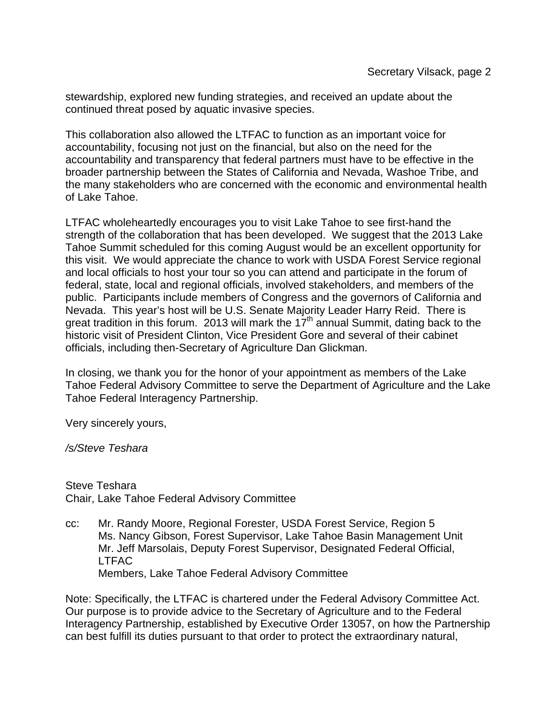stewardship, explored new funding strategies, and received an update about the continued threat posed by aquatic invasive species.

This collaboration also allowed the LTFAC to function as an important voice for accountability, focusing not just on the financial, but also on the need for the accountability and transparency that federal partners must have to be effective in the broader partnership between the States of California and Nevada, Washoe Tribe, and the many stakeholders who are concerned with the economic and environmental health of Lake Tahoe.

LTFAC wholeheartedly encourages you to visit Lake Tahoe to see first-hand the strength of the collaboration that has been developed. We suggest that the 2013 Lake Tahoe Summit scheduled for this coming August would be an excellent opportunity for this visit. We would appreciate the chance to work with USDA Forest Service regional and local officials to host your tour so you can attend and participate in the forum of federal, state, local and regional officials, involved stakeholders, and members of the public. Participants include members of Congress and the governors of California and Nevada. This year's host will be U.S. Senate Majority Leader Harry Reid. There is great tradition in this forum. 2013 will mark the  $17<sup>th</sup>$  annual Summit, dating back to the historic visit of President Clinton, Vice President Gore and several of their cabinet officials, including then-Secretary of Agriculture Dan Glickman.

In closing, we thank you for the honor of your appointment as members of the Lake Tahoe Federal Advisory Committee to serve the Department of Agriculture and the Lake Tahoe Federal Interagency Partnership.

Very sincerely yours,

*/s/Steve Teshara* 

Steve Teshara Chair, Lake Tahoe Federal Advisory Committee

cc: Mr. Randy Moore, Regional Forester, USDA Forest Service, Region 5 Ms. Nancy Gibson, Forest Supervisor, Lake Tahoe Basin Management Unit Mr. Jeff Marsolais, Deputy Forest Supervisor, Designated Federal Official, LTFAC Members, Lake Tahoe Federal Advisory Committee

Note: Specifically, the LTFAC is chartered under the Federal Advisory Committee Act. Our purpose is to provide advice to the Secretary of Agriculture and to the Federal Interagency Partnership, established by Executive Order 13057, on how the Partnership can best fulfill its duties pursuant to that order to protect the extraordinary natural,